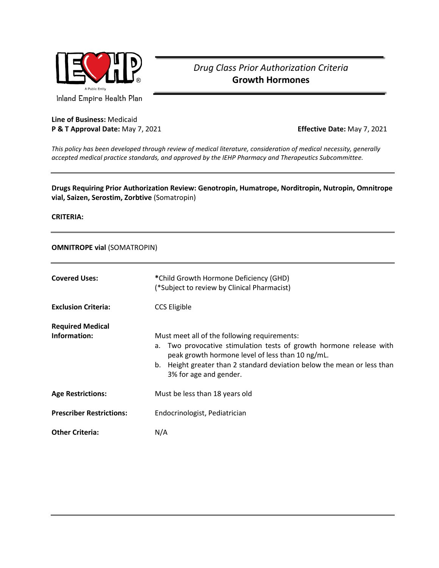

# *Drug Class Prior Authorization Criteria* **Growth Hormones**

Inland Empire Health Plan

## **Line of Business:** Medicaid **P & T Approval Date:** May 7, 2021 **Effective Date:** May 7, 2021

*This policy has been developed through review of medical literature, consideration of medical necessity, generally accepted medical practice standards, and approved by the IEHP Pharmacy and Therapeutics Subcommittee.*

## **Drugs Requiring Prior Authorization Review: Genotropin, Humatrope, Norditropin, Nutropin, Omnitrope vial, Saizen, Serostim, Zorbtive** (Somatropin)

**CRITERIA:** 

## **OMNITROPE vial** (SOMATROPIN)

| <b>Covered Uses:</b>                    | *Child Growth Hormone Deficiency (GHD)<br>(*Subject to review by Clinical Pharmacist)                                                                                                                                                                                           |
|-----------------------------------------|---------------------------------------------------------------------------------------------------------------------------------------------------------------------------------------------------------------------------------------------------------------------------------|
| <b>Exclusion Criteria:</b>              | <b>CCS Eligible</b>                                                                                                                                                                                                                                                             |
| <b>Required Medical</b><br>Information: | Must meet all of the following requirements:<br>Two provocative stimulation tests of growth hormone release with<br>а.<br>peak growth hormone level of less than 10 ng/mL.<br>b. Height greater than 2 standard deviation below the mean or less than<br>3% for age and gender. |
| <b>Age Restrictions:</b>                | Must be less than 18 years old                                                                                                                                                                                                                                                  |
| <b>Prescriber Restrictions:</b>         | Endocrinologist, Pediatrician                                                                                                                                                                                                                                                   |
| <b>Other Criteria:</b>                  | N/A                                                                                                                                                                                                                                                                             |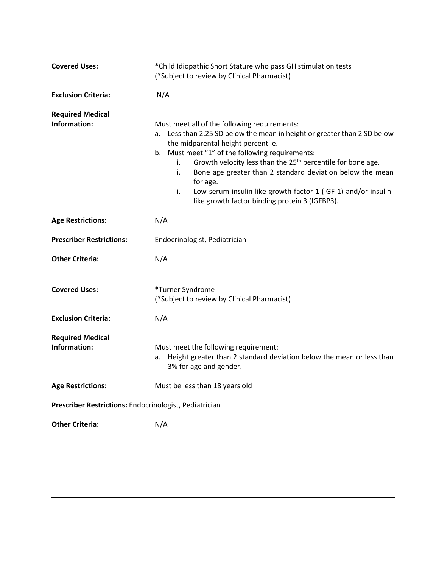| <b>Covered Uses:</b>                                   | *Child Idiopathic Short Stature who pass GH stimulation tests<br>(*Subject to review by Clinical Pharmacist)                                                                                                                                                                                                                                                                                                                                                                                                   |
|--------------------------------------------------------|----------------------------------------------------------------------------------------------------------------------------------------------------------------------------------------------------------------------------------------------------------------------------------------------------------------------------------------------------------------------------------------------------------------------------------------------------------------------------------------------------------------|
| <b>Exclusion Criteria:</b>                             | N/A                                                                                                                                                                                                                                                                                                                                                                                                                                                                                                            |
| <b>Required Medical</b><br>Information:                | Must meet all of the following requirements:<br>a. Less than 2.25 SD below the mean in height or greater than 2 SD below<br>the midparental height percentile.<br>b. Must meet "1" of the following requirements:<br>Growth velocity less than the 25 <sup>th</sup> percentile for bone age.<br>i.<br>ii.<br>Bone age greater than 2 standard deviation below the mean<br>for age.<br>iii.<br>Low serum insulin-like growth factor 1 (IGF-1) and/or insulin-<br>like growth factor binding protein 3 (IGFBP3). |
| <b>Age Restrictions:</b>                               | N/A                                                                                                                                                                                                                                                                                                                                                                                                                                                                                                            |
| <b>Prescriber Restrictions:</b>                        | Endocrinologist, Pediatrician                                                                                                                                                                                                                                                                                                                                                                                                                                                                                  |
| <b>Other Criteria:</b>                                 | N/A                                                                                                                                                                                                                                                                                                                                                                                                                                                                                                            |
| <b>Covered Uses:</b>                                   | *Turner Syndrome<br>(*Subject to review by Clinical Pharmacist)                                                                                                                                                                                                                                                                                                                                                                                                                                                |
| <b>Exclusion Criteria:</b>                             | N/A                                                                                                                                                                                                                                                                                                                                                                                                                                                                                                            |
| <b>Required Medical</b><br>Information:                | Must meet the following requirement:<br>Height greater than 2 standard deviation below the mean or less than<br>a.<br>3% for age and gender.                                                                                                                                                                                                                                                                                                                                                                   |
| <b>Age Restrictions:</b>                               | Must be less than 18 years old                                                                                                                                                                                                                                                                                                                                                                                                                                                                                 |
| Prescriber Restrictions: Endocrinologist, Pediatrician |                                                                                                                                                                                                                                                                                                                                                                                                                                                                                                                |
| <b>Other Criteria:</b>                                 | N/A                                                                                                                                                                                                                                                                                                                                                                                                                                                                                                            |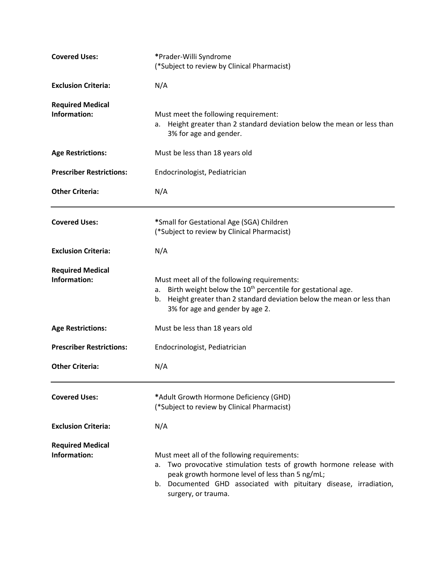| <b>Covered Uses:</b>                    | *Prader-Willi Syndrome<br>(*Subject to review by Clinical Pharmacist)                                                                                                                                                                                                 |  |
|-----------------------------------------|-----------------------------------------------------------------------------------------------------------------------------------------------------------------------------------------------------------------------------------------------------------------------|--|
| <b>Exclusion Criteria:</b>              | N/A                                                                                                                                                                                                                                                                   |  |
| <b>Required Medical</b><br>Information: | Must meet the following requirement:<br>Height greater than 2 standard deviation below the mean or less than<br>а.<br>3% for age and gender.                                                                                                                          |  |
| <b>Age Restrictions:</b>                | Must be less than 18 years old                                                                                                                                                                                                                                        |  |
| <b>Prescriber Restrictions:</b>         | Endocrinologist, Pediatrician                                                                                                                                                                                                                                         |  |
| <b>Other Criteria:</b>                  | N/A                                                                                                                                                                                                                                                                   |  |
| <b>Covered Uses:</b>                    | *Small for Gestational Age (SGA) Children<br>(*Subject to review by Clinical Pharmacist)                                                                                                                                                                              |  |
| <b>Exclusion Criteria:</b>              | N/A                                                                                                                                                                                                                                                                   |  |
| <b>Required Medical</b><br>Information: | Must meet all of the following requirements:<br>Birth weight below the 10 <sup>th</sup> percentile for gestational age.<br>а.<br>b. Height greater than 2 standard deviation below the mean or less than<br>3% for age and gender by age 2.                           |  |
| <b>Age Restrictions:</b>                | Must be less than 18 years old                                                                                                                                                                                                                                        |  |
| <b>Prescriber Restrictions:</b>         | Endocrinologist, Pediatrician                                                                                                                                                                                                                                         |  |
| <b>Other Criteria:</b>                  | N/A                                                                                                                                                                                                                                                                   |  |
| <b>Covered Uses:</b>                    | *Adult Growth Hormone Deficiency (GHD)<br>(*Subject to review by Clinical Pharmacist)                                                                                                                                                                                 |  |
| <b>Exclusion Criteria:</b>              | N/A                                                                                                                                                                                                                                                                   |  |
| <b>Required Medical</b><br>Information: | Must meet all of the following requirements:<br>Two provocative stimulation tests of growth hormone release with<br>а.<br>peak growth hormone level of less than 5 ng/mL;<br>b. Documented GHD associated with pituitary disease, irradiation,<br>surgery, or trauma. |  |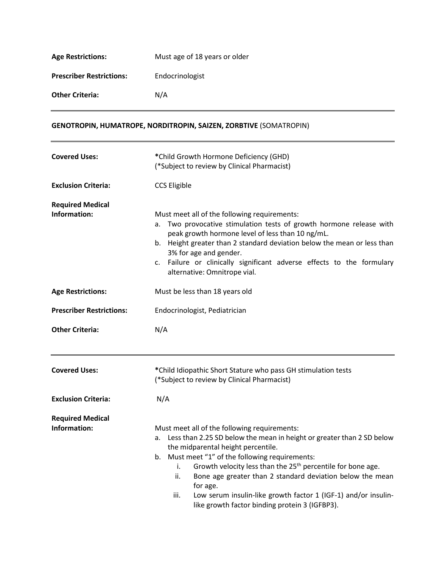| <b>Age Restrictions:</b>        | Must age of 18 years or older |
|---------------------------------|-------------------------------|
| <b>Prescriber Restrictions:</b> | Endocrinologist               |
| <b>Other Criteria:</b>          | N/A                           |

## **GENOTROPIN, HUMATROPE, NORDITROPIN, SAIZEN, ZORBTIVE** (SOMATROPIN)

| <b>Covered Uses:</b>                    | *Child Growth Hormone Deficiency (GHD)<br>(*Subject to review by Clinical Pharmacist)                                                                                                                                                                                                                                                                                                                                                                                                                          |
|-----------------------------------------|----------------------------------------------------------------------------------------------------------------------------------------------------------------------------------------------------------------------------------------------------------------------------------------------------------------------------------------------------------------------------------------------------------------------------------------------------------------------------------------------------------------|
| <b>Exclusion Criteria:</b>              | <b>CCS Eligible</b>                                                                                                                                                                                                                                                                                                                                                                                                                                                                                            |
| <b>Required Medical</b><br>Information: | Must meet all of the following requirements:<br>Two provocative stimulation tests of growth hormone release with<br>а.<br>peak growth hormone level of less than 10 ng/mL.<br>b. Height greater than 2 standard deviation below the mean or less than<br>3% for age and gender.<br>Failure or clinically significant adverse effects to the formulary<br>c.<br>alternative: Omnitrope vial.                                                                                                                    |
| <b>Age Restrictions:</b>                | Must be less than 18 years old                                                                                                                                                                                                                                                                                                                                                                                                                                                                                 |
| <b>Prescriber Restrictions:</b>         | Endocrinologist, Pediatrician                                                                                                                                                                                                                                                                                                                                                                                                                                                                                  |
| <b>Other Criteria:</b>                  | N/A                                                                                                                                                                                                                                                                                                                                                                                                                                                                                                            |
| <b>Covered Uses:</b>                    | *Child Idiopathic Short Stature who pass GH stimulation tests<br>(*Subject to review by Clinical Pharmacist)                                                                                                                                                                                                                                                                                                                                                                                                   |
| <b>Exclusion Criteria:</b>              | N/A                                                                                                                                                                                                                                                                                                                                                                                                                                                                                                            |
| <b>Required Medical</b><br>Information: | Must meet all of the following requirements:<br>a. Less than 2.25 SD below the mean in height or greater than 2 SD below<br>the midparental height percentile.<br>b. Must meet "1" of the following requirements:<br>Growth velocity less than the 25 <sup>th</sup> percentile for bone age.<br>i.<br>Bone age greater than 2 standard deviation below the mean<br>ii.<br>for age.<br>Low serum insulin-like growth factor 1 (IGF-1) and/or insulin-<br>iii.<br>like growth factor binding protein 3 (IGFBP3). |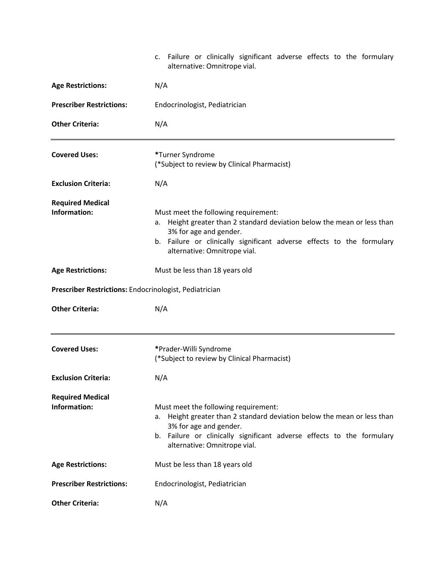|                                                        | c. Failure or clinically significant adverse effects to the formulary<br>alternative: Omnitrope vial.                                                                                                                                              |  |
|--------------------------------------------------------|----------------------------------------------------------------------------------------------------------------------------------------------------------------------------------------------------------------------------------------------------|--|
| <b>Age Restrictions:</b>                               | N/A                                                                                                                                                                                                                                                |  |
| <b>Prescriber Restrictions:</b>                        | Endocrinologist, Pediatrician                                                                                                                                                                                                                      |  |
| <b>Other Criteria:</b>                                 | N/A                                                                                                                                                                                                                                                |  |
| <b>Covered Uses:</b>                                   | *Turner Syndrome<br>(*Subject to review by Clinical Pharmacist)                                                                                                                                                                                    |  |
| <b>Exclusion Criteria:</b>                             | N/A                                                                                                                                                                                                                                                |  |
| <b>Required Medical</b><br>Information:                | Must meet the following requirement:<br>a. Height greater than 2 standard deviation below the mean or less than<br>3% for age and gender.<br>b. Failure or clinically significant adverse effects to the formulary<br>alternative: Omnitrope vial. |  |
| <b>Age Restrictions:</b>                               | Must be less than 18 years old                                                                                                                                                                                                                     |  |
| Prescriber Restrictions: Endocrinologist, Pediatrician |                                                                                                                                                                                                                                                    |  |
|                                                        |                                                                                                                                                                                                                                                    |  |
| <b>Other Criteria:</b>                                 | N/A                                                                                                                                                                                                                                                |  |
| <b>Covered Uses:</b>                                   | *Prader-Willi Syndrome<br>(*Subject to review by Clinical Pharmacist)                                                                                                                                                                              |  |
| <b>Exclusion Criteria:</b>                             | N/A                                                                                                                                                                                                                                                |  |
| <b>Required Medical</b><br>Information:                | Must meet the following requirement:<br>a. Height greater than 2 standard deviation below the mean or less than<br>3% for age and gender.<br>b. Failure or clinically significant adverse effects to the formulary<br>alternative: Omnitrope vial. |  |
| <b>Age Restrictions:</b>                               | Must be less than 18 years old                                                                                                                                                                                                                     |  |
| <b>Prescriber Restrictions:</b>                        | Endocrinologist, Pediatrician                                                                                                                                                                                                                      |  |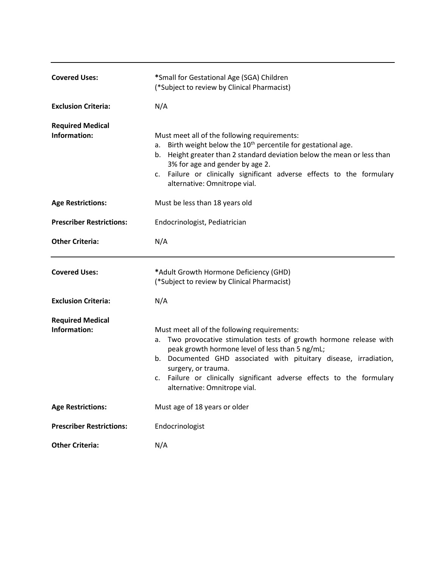| <b>Covered Uses:</b>                    | *Small for Gestational Age (SGA) Children<br>(*Subject to review by Clinical Pharmacist)                                                                                                                                                                                                                                                                                       |
|-----------------------------------------|--------------------------------------------------------------------------------------------------------------------------------------------------------------------------------------------------------------------------------------------------------------------------------------------------------------------------------------------------------------------------------|
| <b>Exclusion Criteria:</b>              | N/A                                                                                                                                                                                                                                                                                                                                                                            |
| <b>Required Medical</b><br>Information: | Must meet all of the following requirements:<br>a. Birth weight below the $10th$ percentile for gestational age.<br>b. Height greater than 2 standard deviation below the mean or less than<br>3% for age and gender by age 2.<br>c. Failure or clinically significant adverse effects to the formulary<br>alternative: Omnitrope vial.                                        |
| <b>Age Restrictions:</b>                | Must be less than 18 years old                                                                                                                                                                                                                                                                                                                                                 |
| <b>Prescriber Restrictions:</b>         | Endocrinologist, Pediatrician                                                                                                                                                                                                                                                                                                                                                  |
| <b>Other Criteria:</b>                  | N/A                                                                                                                                                                                                                                                                                                                                                                            |
| <b>Covered Uses:</b>                    | *Adult Growth Hormone Deficiency (GHD)<br>(*Subject to review by Clinical Pharmacist)                                                                                                                                                                                                                                                                                          |
| <b>Exclusion Criteria:</b>              | N/A                                                                                                                                                                                                                                                                                                                                                                            |
| <b>Required Medical</b><br>Information: | Must meet all of the following requirements:<br>Two provocative stimulation tests of growth hormone release with<br>а.<br>peak growth hormone level of less than 5 ng/mL;<br>b. Documented GHD associated with pituitary disease, irradiation,<br>surgery, or trauma.<br>c. Failure or clinically significant adverse effects to the formulary<br>alternative: Omnitrope vial. |
| <b>Age Restrictions:</b>                | Must age of 18 years or older                                                                                                                                                                                                                                                                                                                                                  |
| <b>Prescriber Restrictions:</b>         | Endocrinologist                                                                                                                                                                                                                                                                                                                                                                |
| <b>Other Criteria:</b>                  | N/A                                                                                                                                                                                                                                                                                                                                                                            |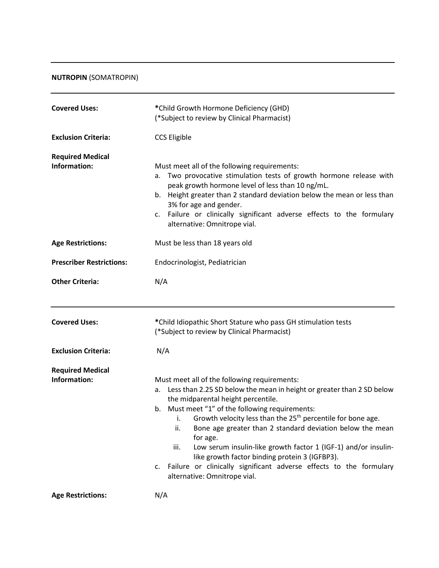## **NUTROPIN** (SOMATROPIN)

| <b>Covered Uses:</b>                    | *Child Growth Hormone Deficiency (GHD)<br>(*Subject to review by Clinical Pharmacist)                                                                                                                                                                                                                                                                                                                                                                                                                                                                                                                                      |
|-----------------------------------------|----------------------------------------------------------------------------------------------------------------------------------------------------------------------------------------------------------------------------------------------------------------------------------------------------------------------------------------------------------------------------------------------------------------------------------------------------------------------------------------------------------------------------------------------------------------------------------------------------------------------------|
| <b>Exclusion Criteria:</b>              | <b>CCS Eligible</b>                                                                                                                                                                                                                                                                                                                                                                                                                                                                                                                                                                                                        |
| <b>Required Medical</b><br>Information: | Must meet all of the following requirements:<br>a. Two provocative stimulation tests of growth hormone release with<br>peak growth hormone level of less than 10 ng/mL.<br>b. Height greater than 2 standard deviation below the mean or less than<br>3% for age and gender.<br>c. Failure or clinically significant adverse effects to the formulary<br>alternative: Omnitrope vial.                                                                                                                                                                                                                                      |
| <b>Age Restrictions:</b>                | Must be less than 18 years old                                                                                                                                                                                                                                                                                                                                                                                                                                                                                                                                                                                             |
| <b>Prescriber Restrictions:</b>         | Endocrinologist, Pediatrician                                                                                                                                                                                                                                                                                                                                                                                                                                                                                                                                                                                              |
| <b>Other Criteria:</b>                  | N/A                                                                                                                                                                                                                                                                                                                                                                                                                                                                                                                                                                                                                        |
|                                         |                                                                                                                                                                                                                                                                                                                                                                                                                                                                                                                                                                                                                            |
| <b>Covered Uses:</b>                    | *Child Idiopathic Short Stature who pass GH stimulation tests<br>(*Subject to review by Clinical Pharmacist)                                                                                                                                                                                                                                                                                                                                                                                                                                                                                                               |
| <b>Exclusion Criteria:</b>              | N/A                                                                                                                                                                                                                                                                                                                                                                                                                                                                                                                                                                                                                        |
| <b>Required Medical</b><br>Information: | Must meet all of the following requirements:<br>Less than 2.25 SD below the mean in height or greater than 2 SD below<br>а.<br>the midparental height percentile.<br>b. Must meet "1" of the following requirements:<br>Growth velocity less than the 25 <sup>th</sup> percentile for bone age.<br>i.<br>Bone age greater than 2 standard deviation below the mean<br>ii.<br>for age.<br>Low serum insulin-like growth factor 1 (IGF-1) and/or insulin-<br>iii.<br>like growth factor binding protein 3 (IGFBP3).<br>c. Failure or clinically significant adverse effects to the formulary<br>alternative: Omnitrope vial. |
| <b>Age Restrictions:</b>                | N/A                                                                                                                                                                                                                                                                                                                                                                                                                                                                                                                                                                                                                        |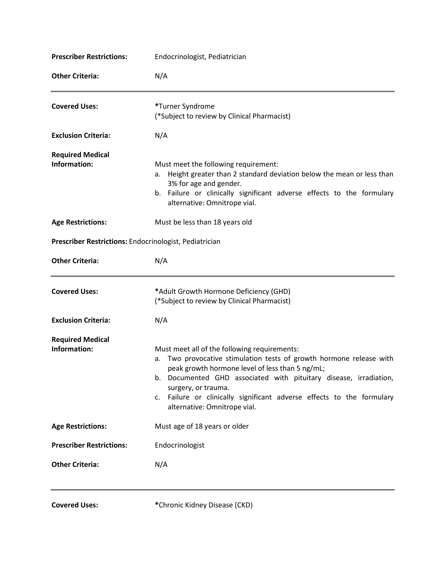| <b>Prescriber Restrictions:</b>                        | Endocrinologist, Pediatrician                                                                                                                                                                                                                                                                                                                                                  |
|--------------------------------------------------------|--------------------------------------------------------------------------------------------------------------------------------------------------------------------------------------------------------------------------------------------------------------------------------------------------------------------------------------------------------------------------------|
| <b>Other Criteria:</b>                                 | N/A                                                                                                                                                                                                                                                                                                                                                                            |
| <b>Covered Uses:</b>                                   | *Turner Syndrome<br>(*Subject to review by Clinical Pharmacist)                                                                                                                                                                                                                                                                                                                |
| <b>Exclusion Criteria:</b>                             | N/A                                                                                                                                                                                                                                                                                                                                                                            |
| <b>Required Medical</b><br>Information:                | Must meet the following requirement:<br>Height greater than 2 standard deviation below the mean or less than<br>а.<br>3% for age and gender.<br>b. Failure or clinically significant adverse effects to the formulary<br>alternative: Omnitrope vial.                                                                                                                          |
| <b>Age Restrictions:</b>                               | Must be less than 18 years old                                                                                                                                                                                                                                                                                                                                                 |
| Prescriber Restrictions: Endocrinologist, Pediatrician |                                                                                                                                                                                                                                                                                                                                                                                |
| <b>Other Criteria:</b>                                 | N/A                                                                                                                                                                                                                                                                                                                                                                            |
| <b>Covered Uses:</b>                                   | *Adult Growth Hormone Deficiency (GHD)<br>(*Subject to review by Clinical Pharmacist)                                                                                                                                                                                                                                                                                          |
| <b>Exclusion Criteria:</b>                             | N/A                                                                                                                                                                                                                                                                                                                                                                            |
| <b>Required Medical</b><br>Information:                | Must meet all of the following requirements:<br>Two provocative stimulation tests of growth hormone release with<br>a.<br>peak growth hormone level of less than 5 ng/mL;<br>b. Documented GHD associated with pituitary disease, irradiation,<br>surgery, or trauma.<br>c. Failure or clinically significant adverse effects to the formulary<br>alternative: Omnitrope vial. |
| <b>Age Restrictions:</b>                               | Must age of 18 years or older                                                                                                                                                                                                                                                                                                                                                  |
| <b>Prescriber Restrictions:</b>                        | Endocrinologist                                                                                                                                                                                                                                                                                                                                                                |
| <b>Other Criteria:</b>                                 | N/A                                                                                                                                                                                                                                                                                                                                                                            |
|                                                        |                                                                                                                                                                                                                                                                                                                                                                                |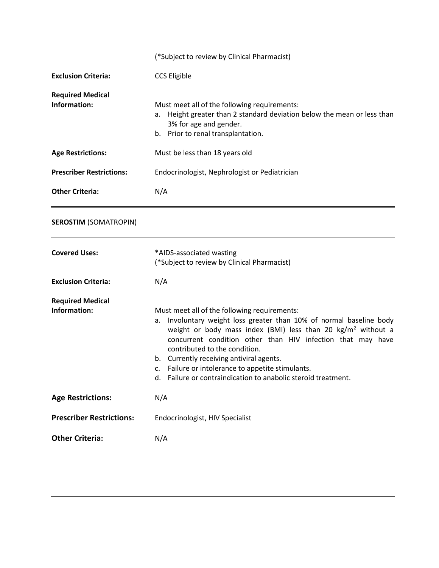|                                         | (*Subject to review by Clinical Pharmacist)                                                                                                                                                                                                                                                                                                                                                                                                                           |
|-----------------------------------------|-----------------------------------------------------------------------------------------------------------------------------------------------------------------------------------------------------------------------------------------------------------------------------------------------------------------------------------------------------------------------------------------------------------------------------------------------------------------------|
| <b>Exclusion Criteria:</b>              | <b>CCS Eligible</b>                                                                                                                                                                                                                                                                                                                                                                                                                                                   |
| <b>Required Medical</b><br>Information: | Must meet all of the following requirements:<br>Height greater than 2 standard deviation below the mean or less than<br>а.<br>3% for age and gender.<br>b. Prior to renal transplantation.                                                                                                                                                                                                                                                                            |
| <b>Age Restrictions:</b>                | Must be less than 18 years old                                                                                                                                                                                                                                                                                                                                                                                                                                        |
| <b>Prescriber Restrictions:</b>         | Endocrinologist, Nephrologist or Pediatrician                                                                                                                                                                                                                                                                                                                                                                                                                         |
| <b>Other Criteria:</b>                  | N/A                                                                                                                                                                                                                                                                                                                                                                                                                                                                   |
| <b>SEROSTIM (SOMATROPIN)</b>            |                                                                                                                                                                                                                                                                                                                                                                                                                                                                       |
| <b>Covered Uses:</b>                    | *AIDS-associated wasting<br>(*Subject to review by Clinical Pharmacist)                                                                                                                                                                                                                                                                                                                                                                                               |
| <b>Exclusion Criteria:</b>              | N/A                                                                                                                                                                                                                                                                                                                                                                                                                                                                   |
| <b>Required Medical</b><br>Information: | Must meet all of the following requirements:<br>Involuntary weight loss greater than 10% of normal baseline body<br>а.<br>weight or body mass index (BMI) less than 20 $\text{kg/m}^2$ without a<br>concurrent condition other than HIV infection that may have<br>contributed to the condition.<br>b. Currently receiving antiviral agents.<br>Failure or intolerance to appetite stimulants.<br>c.<br>d. Failure or contraindication to anabolic steroid treatment. |
| <b>Age Restrictions:</b>                | N/A                                                                                                                                                                                                                                                                                                                                                                                                                                                                   |
| <b>Prescriber Restrictions:</b>         | Endocrinologist, HIV Specialist                                                                                                                                                                                                                                                                                                                                                                                                                                       |
| <b>Other Criteria:</b>                  | N/A                                                                                                                                                                                                                                                                                                                                                                                                                                                                   |